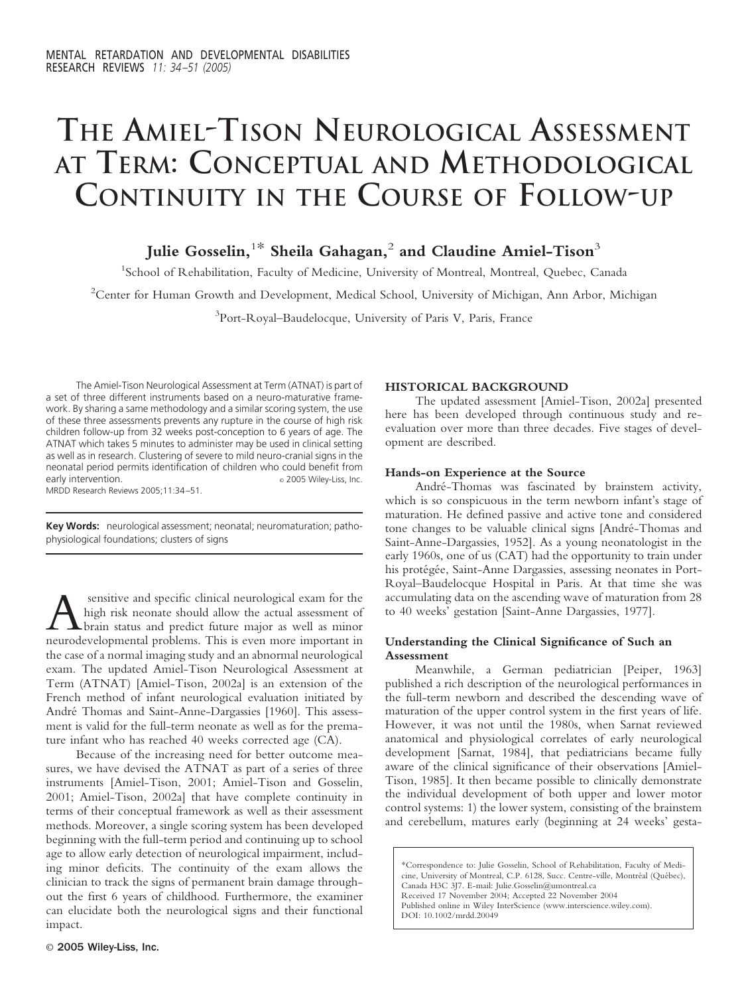# **THE AMIEL-TISON NEUROLOGICAL ASSESSMENT AT TERM: CONCEPTUAL AND METHODOLOGICAL CONTINUITY IN THE COURSE OF FOLLOW-UP**

### **Julie Gosselin,**1\* **Sheila Gahagan,**<sup>2</sup> **and Claudine Amiel-Tison**<sup>3</sup>

<sup>1</sup>School of Rehabilitation, Faculty of Medicine, University of Montreal, Montreal, Quebec, Canada

<sup>2</sup>Center for Human Growth and Development, Medical School, University of Michigan, Ann Arbor, Michigan

<sup>3</sup>Port-Royal-Baudelocque, University of Paris V, Paris, France

The Amiel-Tison Neurological Assessment at Term (ATNAT) is part of a set of three different instruments based on a neuro-maturative framework. By sharing a same methodology and a similar scoring system, the use of these three assessments prevents any rupture in the course of high risk children follow-up from 32 weeks post-conception to 6 years of age. The ATNAT which takes 5 minutes to administer may be used in clinical setting as well as in research. Clustering of severe to mild neuro-cranial signs in the neonatal period permits identification of children who could benefit from early intervention.  $\bullet$  2005 Wiley-Liss, Inc.

MRDD Research Reviews 2005;11:34 –51.

**Key Words:** neurological assessment; neonatal; neuromaturation; pathophysiological foundations; clusters of signs

Substitute and specific clinical neurological exam for the high risk neonate should allow the actual assessment of brain status and predict future major as well as minor neurodevelopmental problems. This is even more impor high risk neonate should allow the actual assessment of **A** brain status and predict future major as well as minor neurodevelopmental problems. This is even more important in the case of a normal imaging study and an abnormal neurological exam. The updated Amiel-Tison Neurological Assessment at Term (ATNAT) [Amiel-Tison, 2002a] is an extension of the French method of infant neurological evaluation initiated by André Thomas and Saint-Anne-Dargassies [1960]. This assessment is valid for the full-term neonate as well as for the premature infant who has reached 40 weeks corrected age (CA).

Because of the increasing need for better outcome measures, we have devised the ATNAT as part of a series of three instruments [Amiel-Tison, 2001; Amiel-Tison and Gosselin, 2001; Amiel-Tison, 2002a] that have complete continuity in terms of their conceptual framework as well as their assessment methods. Moreover, a single scoring system has been developed beginning with the full-term period and continuing up to school age to allow early detection of neurological impairment, including minor deficits. The continuity of the exam allows the clinician to track the signs of permanent brain damage throughout the first 6 years of childhood. Furthermore, the examiner can elucidate both the neurological signs and their functional impact.

#### **HISTORICAL BACKGROUND**

The updated assessment [Amiel-Tison, 2002a] presented here has been developed through continuous study and reevaluation over more than three decades. Five stages of development are described.

#### **Hands-on Experience at the Source**

André-Thomas was fascinated by brainstem activity, which is so conspicuous in the term newborn infant's stage of maturation. He defined passive and active tone and considered tone changes to be valuable clinical signs [André-Thomas and Saint-Anne-Dargassies, 1952]. As a young neonatologist in the early 1960s, one of us (CAT) had the opportunity to train under his protégée, Saint-Anne Dargassies, assessing neonates in Port-Royal–Baudelocque Hospital in Paris. At that time she was accumulating data on the ascending wave of maturation from 28 to 40 weeks' gestation [Saint-Anne Dargassies, 1977].

#### **Understanding the Clinical Significance of Such an Assessment**

Meanwhile, a German pediatrician [Peiper, 1963] published a rich description of the neurological performances in the full-term newborn and described the descending wave of maturation of the upper control system in the first years of life. However, it was not until the 1980s, when Sarnat reviewed anatomical and physiological correlates of early neurological development [Sarnat, 1984], that pediatricians became fully aware of the clinical significance of their observations [Amiel-Tison, 1985]. It then became possible to clinically demonstrate the individual development of both upper and lower motor control systems: 1) the lower system, consisting of the brainstem and cerebellum, matures early (beginning at 24 weeks' gesta-

\*Correspondence to: Julie Gosselin, School of Rehabilitation, Faculty of Medicine, University of Montreal, C.P. 6128, Succ. Centre-ville, Montréal (Québec), Canada H3C 3J7. E-mail: Julie.Gosselin@umontreal.ca Received 17 November 2004; Accepted 22 November 2004 Published online in Wiley InterScience (www.interscience.wiley.com). DOI: 10.1002/mrdd.20049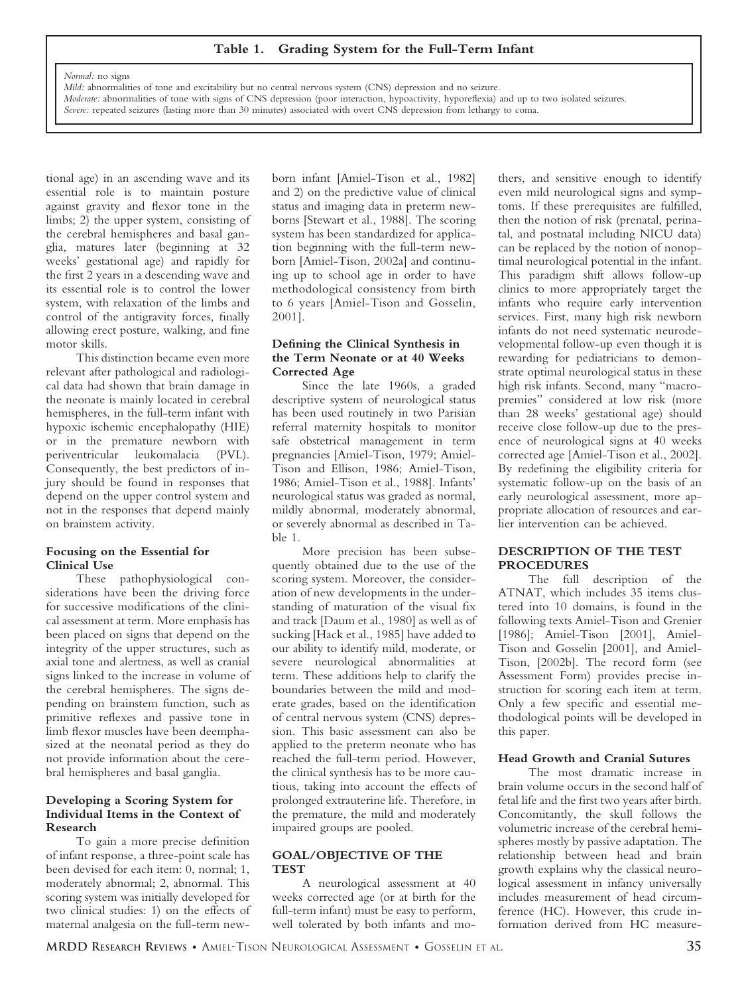#### **Table 1. Grading System for the Full-Term Infant**

*Normal:* no signs

*Mild:* abnormalities of tone and excitability but no central nervous system (CNS) depression and no seizure. *Moderate:* abnormalities of tone with signs of CNS depression (poor interaction, hypoactivity, hyporeflexia) and up to two isolated seizures. *Severe:* repeated seizures (lasting more than 30 minutes) associated with overt CNS depression from lethargy to coma.

tional age) in an ascending wave and its essential role is to maintain posture against gravity and flexor tone in the limbs; 2) the upper system, consisting of the cerebral hemispheres and basal ganglia, matures later (beginning at 32 weeks' gestational age) and rapidly for the first 2 years in a descending wave and its essential role is to control the lower system, with relaxation of the limbs and control of the antigravity forces, finally allowing erect posture, walking, and fine motor skills.

This distinction became even more relevant after pathological and radiological data had shown that brain damage in the neonate is mainly located in cerebral hemispheres, in the full-term infant with hypoxic ischemic encephalopathy (HIE) or in the premature newborn with periventricular leukomalacia (PVL). Consequently, the best predictors of injury should be found in responses that depend on the upper control system and not in the responses that depend mainly on brainstem activity.

#### **Focusing on the Essential for Clinical Use**

These pathophysiological considerations have been the driving force for successive modifications of the clinical assessment at term. More emphasis has been placed on signs that depend on the integrity of the upper structures, such as axial tone and alertness, as well as cranial signs linked to the increase in volume of the cerebral hemispheres. The signs depending on brainstem function, such as primitive reflexes and passive tone in limb flexor muscles have been deemphasized at the neonatal period as they do not provide information about the cerebral hemispheres and basal ganglia.

#### **Developing a Scoring System for Individual Items in the Context of Research**

To gain a more precise definition of infant response, a three-point scale has been devised for each item: 0, normal; 1, moderately abnormal; 2, abnormal. This scoring system was initially developed for two clinical studies: 1) on the effects of maternal analgesia on the full-term newborn infant [Amiel-Tison et al., 1982] and 2) on the predictive value of clinical status and imaging data in preterm newborns [Stewart et al., 1988]. The scoring system has been standardized for application beginning with the full-term newborn [Amiel-Tison, 2002a] and continuing up to school age in order to have methodological consistency from birth to 6 years [Amiel-Tison and Gosselin, 2001].

#### **Defining the Clinical Synthesis in the Term Neonate or at 40 Weeks Corrected Age**

Since the late 1960s, a graded descriptive system of neurological status has been used routinely in two Parisian referral maternity hospitals to monitor safe obstetrical management in term pregnancies [Amiel-Tison, 1979; Amiel-Tison and Ellison, 1986; Amiel-Tison, 1986; Amiel-Tison et al., 1988]. Infants' neurological status was graded as normal, mildly abnormal, moderately abnormal, or severely abnormal as described in Table 1.

More precision has been subsequently obtained due to the use of the scoring system. Moreover, the consideration of new developments in the understanding of maturation of the visual fix and track [Daum et al., 1980] as well as of sucking [Hack et al., 1985] have added to our ability to identify mild, moderate, or severe neurological abnormalities at term. These additions help to clarify the boundaries between the mild and moderate grades, based on the identification of central nervous system (CNS) depression. This basic assessment can also be applied to the preterm neonate who has reached the full-term period. However, the clinical synthesis has to be more cautious, taking into account the effects of prolonged extrauterine life. Therefore, in the premature, the mild and moderately impaired groups are pooled.

#### **GOAL/OBJECTIVE OF THE TEST**

A neurological assessment at 40 weeks corrected age (or at birth for the full-term infant) must be easy to perform, well tolerated by both infants and mothers, and sensitive enough to identify even mild neurological signs and symptoms. If these prerequisites are fulfilled, then the notion of risk (prenatal, perinatal, and postnatal including NICU data) can be replaced by the notion of nonoptimal neurological potential in the infant. This paradigm shift allows follow-up clinics to more appropriately target the infants who require early intervention services. First, many high risk newborn infants do not need systematic neurodevelopmental follow-up even though it is rewarding for pediatricians to demonstrate optimal neurological status in these high risk infants. Second, many "macropremies" considered at low risk (more than 28 weeks' gestational age) should receive close follow-up due to the presence of neurological signs at 40 weeks corrected age [Amiel-Tison et al., 2002]. By redefining the eligibility criteria for systematic follow-up on the basis of an early neurological assessment, more appropriate allocation of resources and earlier intervention can be achieved.

#### **DESCRIPTION OF THE TEST PROCEDURES**

The full description of the ATNAT, which includes 35 items clustered into 10 domains, is found in the following texts Amiel-Tison and Grenier [1986]; Amiel-Tison [2001], Amiel-Tison and Gosselin [2001], and Amiel-Tison, [2002b]. The record form (see Assessment Form) provides precise instruction for scoring each item at term. Only a few specific and essential methodological points will be developed in this paper.

#### **Head Growth and Cranial Sutures**

The most dramatic increase in brain volume occurs in the second half of fetal life and the first two years after birth. Concomitantly, the skull follows the volumetric increase of the cerebral hemispheres mostly by passive adaptation. The relationship between head and brain growth explains why the classical neurological assessment in infancy universally includes measurement of head circumference (HC). However, this crude information derived from HC measure-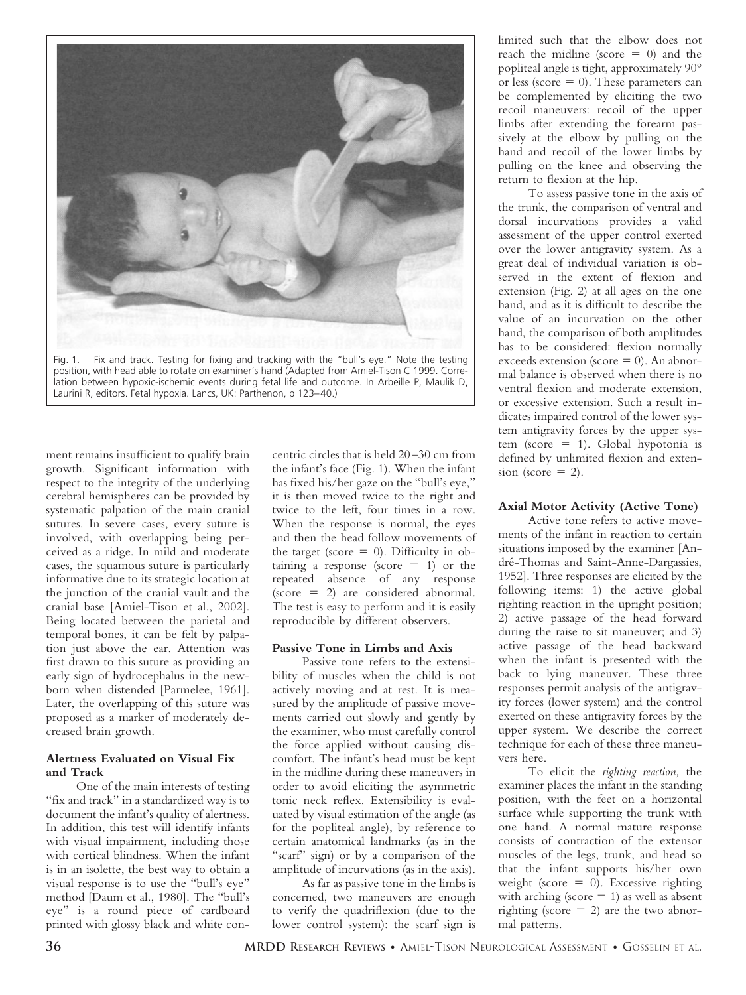

lation between hypoxic-ischemic events during fetal life and outcome. In Arbeille P, Maulik D, Laurini R, editors. Fetal hypoxia. Lancs, UK: Parthenon, p 123-40.)

ment remains insufficient to qualify brain growth. Significant information with respect to the integrity of the underlying cerebral hemispheres can be provided by systematic palpation of the main cranial sutures. In severe cases, every suture is involved, with overlapping being perceived as a ridge. In mild and moderate cases, the squamous suture is particularly informative due to its strategic location at the junction of the cranial vault and the cranial base [Amiel-Tison et al., 2002]. Being located between the parietal and temporal bones, it can be felt by palpation just above the ear. Attention was first drawn to this suture as providing an early sign of hydrocephalus in the newborn when distended [Parmelee, 1961]. Later, the overlapping of this suture was proposed as a marker of moderately decreased brain growth.

#### **Alertness Evaluated on Visual Fix and Track**

One of the main interests of testing "fix and track" in a standardized way is to document the infant's quality of alertness. In addition, this test will identify infants with visual impairment, including those with cortical blindness. When the infant is in an isolette, the best way to obtain a visual response is to use the "bull's eye" method [Daum et al., 1980]. The "bull's eye" is a round piece of cardboard printed with glossy black and white concentric circles that is held 20 –30 cm from the infant's face (Fig. 1). When the infant has fixed his/her gaze on the "bull's eye," it is then moved twice to the right and twice to the left, four times in a row. When the response is normal, the eyes and then the head follow movements of the target (score  $= 0$ ). Difficulty in obtaining a response (score  $= 1$ ) or the repeated absence of any response  $(\text{score} = 2)$  are considered abnormal. The test is easy to perform and it is easily reproducible by different observers.

#### **Passive Tone in Limbs and Axis**

Passive tone refers to the extensibility of muscles when the child is not actively moving and at rest. It is measured by the amplitude of passive movements carried out slowly and gently by the examiner, who must carefully control the force applied without causing discomfort. The infant's head must be kept in the midline during these maneuvers in order to avoid eliciting the asymmetric tonic neck reflex. Extensibility is evaluated by visual estimation of the angle (as for the popliteal angle), by reference to certain anatomical landmarks (as in the "scarf" sign) or by a comparison of the amplitude of incurvations (as in the axis).

As far as passive tone in the limbs is concerned, two maneuvers are enough to verify the quadriflexion (due to the lower control system): the scarf sign is

limited such that the elbow does not reach the midline (score  $= 0$ ) and the popliteal angle is tight, approximately 90° or less (score  $= 0$ ). These parameters can be complemented by eliciting the two recoil maneuvers: recoil of the upper limbs after extending the forearm passively at the elbow by pulling on the hand and recoil of the lower limbs by pulling on the knee and observing the return to flexion at the hip.

To assess passive tone in the axis of the trunk, the comparison of ventral and dorsal incurvations provides a valid assessment of the upper control exerted over the lower antigravity system. As a great deal of individual variation is observed in the extent of flexion and extension (Fig. 2) at all ages on the one hand, and as it is difficult to describe the value of an incurvation on the other hand, the comparison of both amplitudes has to be considered: flexion normally exceeds extension (score  $= 0$ ). An abnormal balance is observed when there is no ventral flexion and moderate extension, or excessive extension. Such a result indicates impaired control of the lower system antigravity forces by the upper system (score  $= 1$ ). Global hypotonia is defined by unlimited flexion and extension (score  $= 2$ ).

#### **Axial Motor Activity (Active Tone)**

Active tone refers to active movements of the infant in reaction to certain situations imposed by the examiner [André-Thomas and Saint-Anne-Dargassies, 1952]. Three responses are elicited by the following items: 1) the active global righting reaction in the upright position; 2) active passage of the head forward during the raise to sit maneuver; and 3) active passage of the head backward when the infant is presented with the back to lying maneuver. These three responses permit analysis of the antigravity forces (lower system) and the control exerted on these antigravity forces by the upper system. We describe the correct technique for each of these three maneuvers here.

To elicit the *righting reaction,* the examiner places the infant in the standing position, with the feet on a horizontal surface while supporting the trunk with one hand. A normal mature response consists of contraction of the extensor muscles of the legs, trunk, and head so that the infant supports his/her own weight (score  $= 0$ ). Excessive righting with arching (score  $= 1$ ) as well as absent righting (score  $= 2$ ) are the two abnormal patterns.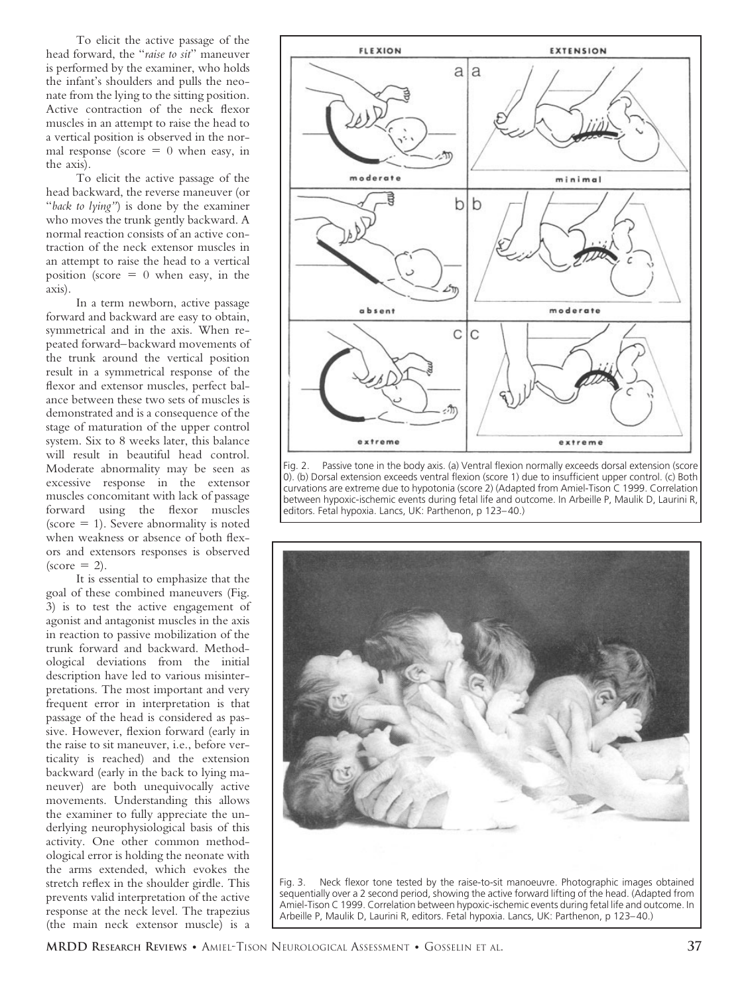To elicit the active passage of the head forward, the "*raise to sit*" maneuver is performed by the examiner, who holds the infant's shoulders and pulls the neonate from the lying to the sitting position. Active contraction of the neck flexor muscles in an attempt to raise the head to a vertical position is observed in the normal response (score  $= 0$  when easy, in the axis).

To elicit the active passage of the head backward, the reverse maneuver (or "*back to lying"*) is done by the examiner who moves the trunk gently backward. A normal reaction consists of an active contraction of the neck extensor muscles in an attempt to raise the head to a vertical position (score  $= 0$  when easy, in the axis).

In a term newborn, active passage forward and backward are easy to obtain, symmetrical and in the axis. When repeated forward– backward movements of the trunk around the vertical position result in a symmetrical response of the flexor and extensor muscles, perfect balance between these two sets of muscles is demonstrated and is a consequence of the stage of maturation of the upper control system. Six to 8 weeks later, this balance will result in beautiful head control. Moderate abnormality may be seen as excessive response in the extensor muscles concomitant with lack of passage forward using the flexor muscles  $\text{(score} = 1)$ . Severe abnormality is noted when weakness or absence of both flexors and extensors responses is observed  $(\text{score} = 2)$ .

It is essential to emphasize that the goal of these combined maneuvers (Fig. 3) is to test the active engagement of agonist and antagonist muscles in the axis in reaction to passive mobilization of the trunk forward and backward. Methodological deviations from the initial description have led to various misinterpretations. The most important and very frequent error in interpretation is that passage of the head is considered as passive. However, flexion forward (early in the raise to sit maneuver, i.e., before verticality is reached) and the extension backward (early in the back to lying maneuver) are both unequivocally active movements. Understanding this allows the examiner to fully appreciate the underlying neurophysiological basis of this activity. One other common methodological error is holding the neonate with the arms extended, which evokes the stretch reflex in the shoulder girdle. This prevents valid interpretation of the active response at the neck level. The trapezius (the main neck extensor muscle) is a



Fig. 2. Passive tone in the body axis. (a) Ventral flexion normally exceeds dorsal extension (score 0). (b) Dorsal extension exceeds ventral flexion (score 1) due to insufficient upper control. (c) Both curvations are extreme due to hypotonia (score 2) (Adapted from Amiel-Tison C 1999. Correlation between hypoxic-ischemic events during fetal life and outcome. In Arbeille P, Maulik D, Laurini R, editors. Fetal hypoxia. Lancs, UK: Parthenon, p 123– 40.)



Arbeille P, Maulik D, Laurini R, editors. Fetal hypoxia. Lancs, UK: Parthenon, p 123– 40.)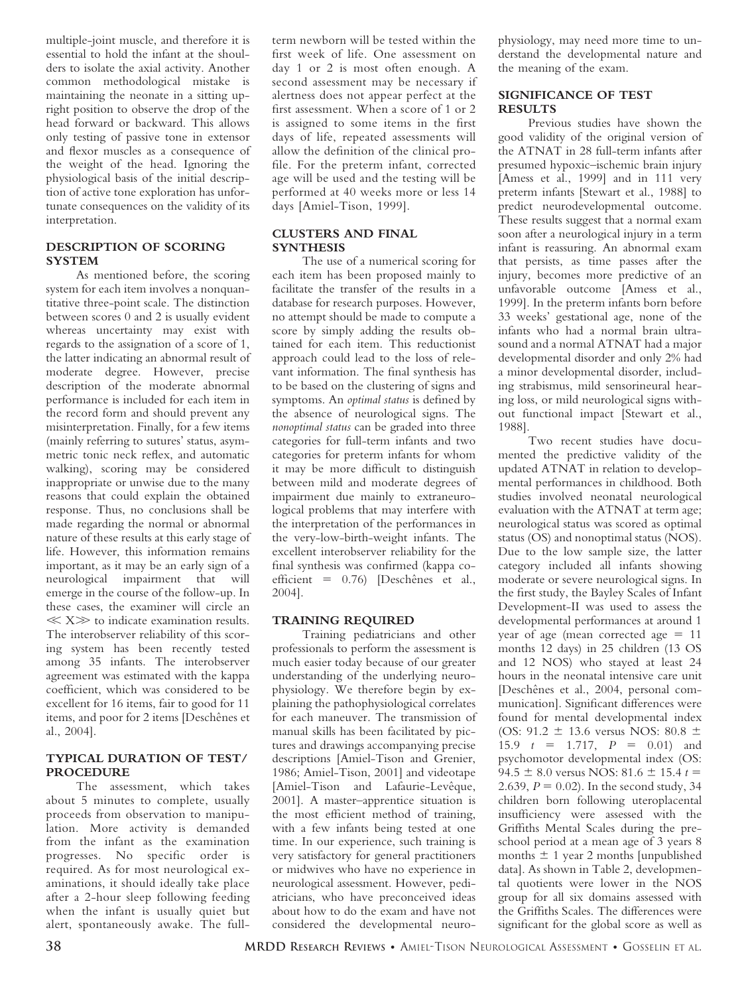multiple-joint muscle, and therefore it is essential to hold the infant at the shoulders to isolate the axial activity. Another common methodological mistake is maintaining the neonate in a sitting upright position to observe the drop of the head forward or backward. This allows only testing of passive tone in extensor and flexor muscles as a consequence of the weight of the head. Ignoring the physiological basis of the initial description of active tone exploration has unfortunate consequences on the validity of its interpretation.

#### **DESCRIPTION OF SCORING SYSTEM**

As mentioned before, the scoring system for each item involves a nonquantitative three-point scale. The distinction between scores 0 and 2 is usually evident whereas uncertainty may exist with regards to the assignation of a score of 1, the latter indicating an abnormal result of moderate degree. However, precise description of the moderate abnormal performance is included for each item in the record form and should prevent any misinterpretation. Finally, for a few items (mainly referring to sutures' status, asymmetric tonic neck reflex, and automatic walking), scoring may be considered inappropriate or unwise due to the many reasons that could explain the obtained response. Thus, no conclusions shall be made regarding the normal or abnormal nature of these results at this early stage of life. However, this information remains important, as it may be an early sign of a neurological impairment that will emerge in the course of the follow-up. In these cases, the examiner will circle an  $\ll$  X $\gg$  to indicate examination results. The interobserver reliability of this scoring system has been recently tested among 35 infants. The interobserver agreement was estimated with the kappa coefficient, which was considered to be excellent for 16 items, fair to good for 11 items, and poor for 2 items [Deschênes et al., 2004].

#### **TYPICAL DURATION OF TEST/ PROCEDURE**

The assessment, which takes about 5 minutes to complete, usually proceeds from observation to manipulation. More activity is demanded from the infant as the examination progresses. No specific order is required. As for most neurological examinations, it should ideally take place after a 2-hour sleep following feeding when the infant is usually quiet but alert, spontaneously awake. The fullterm newborn will be tested within the first week of life. One assessment on day 1 or 2 is most often enough. A second assessment may be necessary if alertness does not appear perfect at the first assessment. When a score of 1 or 2 is assigned to some items in the first days of life, repeated assessments will allow the definition of the clinical profile. For the preterm infant, corrected age will be used and the testing will be performed at 40 weeks more or less 14 days [Amiel-Tison, 1999].

#### **CLUSTERS AND FINAL SYNTHESIS**

The use of a numerical scoring for each item has been proposed mainly to facilitate the transfer of the results in a database for research purposes. However, no attempt should be made to compute a score by simply adding the results obtained for each item. This reductionist approach could lead to the loss of relevant information. The final synthesis has to be based on the clustering of signs and symptoms. An *optimal status* is defined by the absence of neurological signs. The *nonoptimal status* can be graded into three categories for full-term infants and two categories for preterm infants for whom it may be more difficult to distinguish between mild and moderate degrees of impairment due mainly to extraneurological problems that may interfere with the interpretation of the performances in the very-low-birth-weight infants. The excellent interobserver reliability for the final synthesis was confirmed (kappa coefficient =  $0.76$ ) [Deschênes et al., 2004].

#### **TRAINING REQUIRED**

Training pediatricians and other professionals to perform the assessment is much easier today because of our greater understanding of the underlying neurophysiology. We therefore begin by explaining the pathophysiological correlates for each maneuver. The transmission of manual skills has been facilitated by pictures and drawings accompanying precise descriptions [Amiel-Tison and Grenier, 1986; Amiel-Tison, 2001] and videotape [Amiel-Tison and Lafaurie-Levêque, 2001]. A master–apprentice situation is the most efficient method of training, with a few infants being tested at one time. In our experience, such training is very satisfactory for general practitioners or midwives who have no experience in neurological assessment. However, pediatricians, who have preconceived ideas about how to do the exam and have not considered the developmental neurophysiology, may need more time to understand the developmental nature and the meaning of the exam.

#### **SIGNIFICANCE OF TEST RESULTS**

Previous studies have shown the good validity of the original version of the ATNAT in 28 full-term infants after presumed hypoxic–ischemic brain injury [Amess et al., 1999] and in 111 very preterm infants [Stewart et al., 1988] to predict neurodevelopmental outcome. These results suggest that a normal exam soon after a neurological injury in a term infant is reassuring. An abnormal exam that persists, as time passes after the injury, becomes more predictive of an unfavorable outcome [Amess et al., 1999]. In the preterm infants born before 33 weeks' gestational age, none of the infants who had a normal brain ultrasound and a normal ATNAT had a major developmental disorder and only 2% had a minor developmental disorder, including strabismus, mild sensorineural hearing loss, or mild neurological signs without functional impact [Stewart et al., 1988].

Two recent studies have documented the predictive validity of the updated ATNAT in relation to developmental performances in childhood. Both studies involved neonatal neurological evaluation with the ATNAT at term age; neurological status was scored as optimal status (OS) and nonoptimal status (NOS). Due to the low sample size, the latter category included all infants showing moderate or severe neurological signs. In the first study, the Bayley Scales of Infant Development-II was used to assess the developmental performances at around 1 year of age (mean corrected age  $= 11$ months 12 days) in 25 children (13 OS and 12 NOS) who stayed at least 24 hours in the neonatal intensive care unit [Deschênes et al., 2004, personal communication]. Significant differences were found for mental developmental index (OS: 91.2  $\pm$  13.6 versus NOS: 80.8  $\pm$ 15.9  $t = 1.717$ ,  $P = 0.01$  and psychomotor developmental index (OS: 94.5  $\pm$  8.0 versus NOS: 81.6  $\pm$  15.4 *t* = 2.639,  $P = 0.02$ ). In the second study, 34 children born following uteroplacental insufficiency were assessed with the Griffiths Mental Scales during the preschool period at a mean age of 3 years 8 months  $\pm$  1 year 2 months [unpublished] data]. As shown in Table 2, developmental quotients were lower in the NOS group for all six domains assessed with the Griffiths Scales. The differences were significant for the global score as well as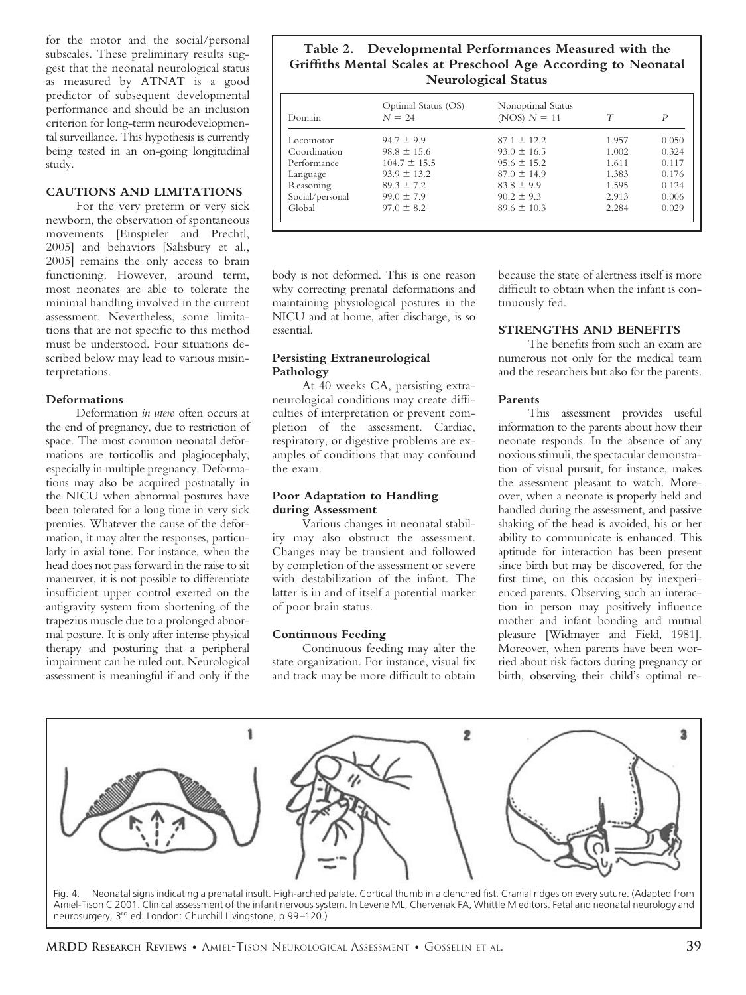for the motor and the social/personal subscales. These preliminary results suggest that the neonatal neurological status as measured by ATNAT is a good predictor of subsequent developmental performance and should be an inclusion criterion for long-term neurodevelopmental surveillance. This hypothesis is currently being tested in an on-going longitudinal study.

#### **CAUTIONS AND LIMITATIONS**

For the very preterm or very sick newborn, the observation of spontaneous movements [Einspieler and Prechtl, 2005] and behaviors [Salisbury et al., 2005] remains the only access to brain functioning. However, around term, most neonates are able to tolerate the minimal handling involved in the current assessment. Nevertheless, some limitations that are not specific to this method must be understood. Four situations described below may lead to various misinterpretations.

#### **Deformations**

Deformation *in utero* often occurs at the end of pregnancy, due to restriction of space. The most common neonatal deformations are torticollis and plagiocephaly, especially in multiple pregnancy. Deformations may also be acquired postnatally in the NICU when abnormal postures have been tolerated for a long time in very sick premies. Whatever the cause of the deformation, it may alter the responses, particularly in axial tone. For instance, when the head does not pass forward in the raise to sit maneuver, it is not possible to differentiate insufficient upper control exerted on the antigravity system from shortening of the trapezius muscle due to a prolonged abnormal posture. It is only after intense physical therapy and posturing that a peripheral impairment can he ruled out. Neurological assessment is meaningful if and only if the

#### **Table 2. Developmental Performances Measured with the Griffiths Mental Scales at Preschool Age According to Neonatal Neurological Status**

| Domain          | Optimal Status (OS)<br>$N = 24$ | Nonoptimal Status<br>$(NOS)$ $N = 11$ |       | $\boldsymbol{P}$ |
|-----------------|---------------------------------|---------------------------------------|-------|------------------|
| Locomotor       | $94.7 \pm 9.9$                  | $87.1 \pm 12.2$                       | 1.957 | 0.050            |
| Coordination    | $98.8 \pm 15.6$                 | $93.0 \pm 16.5$                       | 1.002 | 0.324            |
| Performance     | $104.7 \pm 15.5$                | $95.6 \pm 15.2$                       | 1.611 | 0.117            |
| Language        | $93.9 \pm 13.2$                 | $87.0 \pm 14.9$                       | 1.383 | 0.176            |
| Reasoning       | $89.3 \pm 7.2$                  | $83.8 \pm 9.9$                        | 1.595 | 0.124            |
| Social/personal | $99.0 \pm 7.9$                  | $90.2 \pm 9.3$                        | 2.913 | 0.006            |
| Global          | $97.0 \pm 8.2$                  | $89.6 \pm 10.3$                       | 2.284 | 0.029            |

body is not deformed. This is one reason why correcting prenatal deformations and maintaining physiological postures in the NICU and at home, after discharge, is so essential.

#### **Persisting Extraneurological Pathology**

At 40 weeks CA, persisting extraneurological conditions may create difficulties of interpretation or prevent completion of the assessment. Cardiac, respiratory, or digestive problems are examples of conditions that may confound the exam.

#### **Poor Adaptation to Handling during Assessment**

Various changes in neonatal stability may also obstruct the assessment. Changes may be transient and followed by completion of the assessment or severe with destabilization of the infant. The latter is in and of itself a potential marker of poor brain status.

#### **Continuous Feeding**

Continuous feeding may alter the state organization. For instance, visual fix and track may be more difficult to obtain because the state of alertness itself is more difficult to obtain when the infant is continuously fed.

#### **STRENGTHS AND BENEFITS**

The benefits from such an exam are numerous not only for the medical team and the researchers but also for the parents.

#### **Parents**

This assessment provides useful information to the parents about how their neonate responds. In the absence of any noxious stimuli, the spectacular demonstration of visual pursuit, for instance, makes the assessment pleasant to watch. Moreover, when a neonate is properly held and handled during the assessment, and passive shaking of the head is avoided, his or her ability to communicate is enhanced. This aptitude for interaction has been present since birth but may be discovered, for the first time, on this occasion by inexperienced parents. Observing such an interaction in person may positively influence mother and infant bonding and mutual pleasure [Widmayer and Field, 1981]. Moreover, when parents have been worried about risk factors during pregnancy or birth, observing their child's optimal re-



**MRDD RESEARCH REVIEWS** ● AMIEL-TISON NEUROLOGICAL ASSESSMENT ● GOSSELIN ET AL. **39**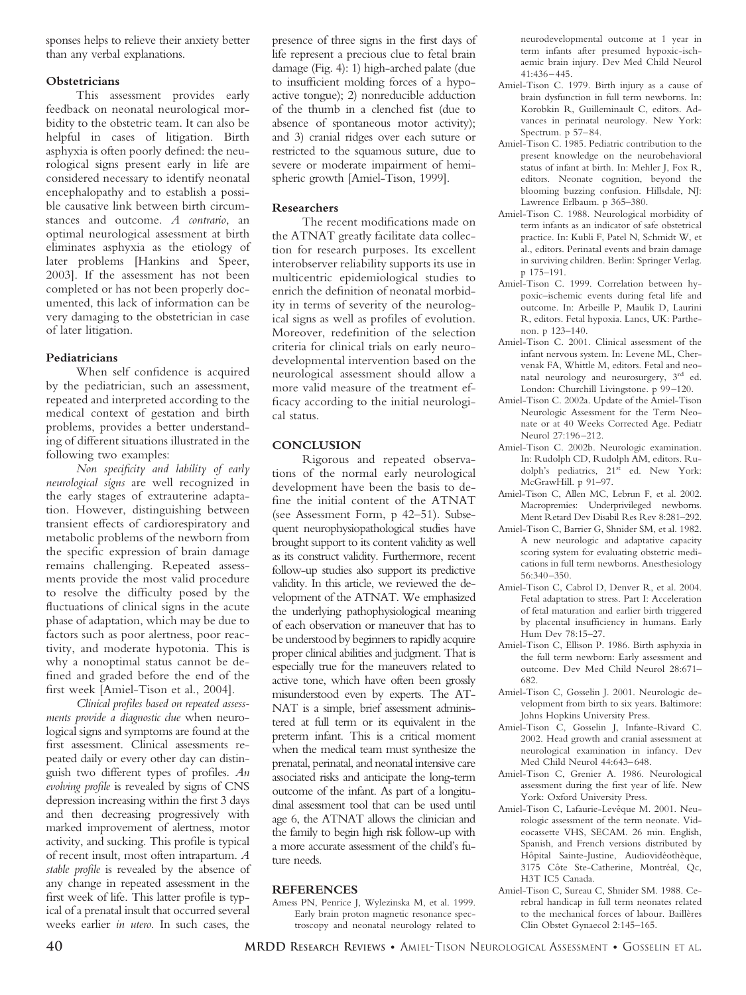sponses helps to relieve their anxiety better than any verbal explanations.

#### **Obstetricians**

This assessment provides early feedback on neonatal neurological morbidity to the obstetric team. It can also be helpful in cases of litigation. Birth asphyxia is often poorly defined: the neurological signs present early in life are considered necessary to identify neonatal encephalopathy and to establish a possible causative link between birth circumstances and outcome. *A contrario*, an optimal neurological assessment at birth eliminates asphyxia as the etiology of later problems [Hankins and Speer, 2003]. If the assessment has not been completed or has not been properly documented, this lack of information can be very damaging to the obstetrician in case of later litigation.

#### **Pediatricians**

When self confidence is acquired by the pediatrician, such an assessment, repeated and interpreted according to the medical context of gestation and birth problems, provides a better understanding of different situations illustrated in the following two examples:

*Non specificity and lability of early neurological signs* are well recognized in the early stages of extrauterine adaptation. However, distinguishing between transient effects of cardiorespiratory and metabolic problems of the newborn from the specific expression of brain damage remains challenging. Repeated assessments provide the most valid procedure to resolve the difficulty posed by the fluctuations of clinical signs in the acute phase of adaptation, which may be due to factors such as poor alertness, poor reactivity, and moderate hypotonia. This is why a nonoptimal status cannot be defined and graded before the end of the first week [Amiel-Tison et al., 2004].

*Clinical profiles based on repeated assessments provide a diagnostic clue* when neurological signs and symptoms are found at the first assessment. Clinical assessments repeated daily or every other day can distinguish two different types of profiles. *An evolving profile* is revealed by signs of CNS depression increasing within the first 3 days and then decreasing progressively with marked improvement of alertness, motor activity, and sucking. This profile is typical of recent insult, most often intrapartum. *A stable profile* is revealed by the absence of any change in repeated assessment in the first week of life. This latter profile is typical of a prenatal insult that occurred several weeks earlier *in utero*. In such cases, the

presence of three signs in the first days of life represent a precious clue to fetal brain damage (Fig. 4): 1) high-arched palate (due to insufficient molding forces of a hypoactive tongue); 2) nonreducible adduction of the thumb in a clenched fist (due to absence of spontaneous motor activity); and 3) cranial ridges over each suture or restricted to the squamous suture, due to severe or moderate impairment of hemispheric growth [Amiel-Tison, 1999].

#### **Researchers**

The recent modifications made on the ATNAT greatly facilitate data collection for research purposes. Its excellent interobserver reliability supports its use in multicentric epidemiological studies to enrich the definition of neonatal morbidity in terms of severity of the neurological signs as well as profiles of evolution. Moreover, redefinition of the selection criteria for clinical trials on early neurodevelopmental intervention based on the neurological assessment should allow a more valid measure of the treatment efficacy according to the initial neurological status.

#### **CONCLUSION**

Rigorous and repeated observations of the normal early neurological development have been the basis to define the initial content of the ATNAT (see Assessment Form, p 42–51). Subsequent neurophysiopathological studies have brought support to its content validity as well as its construct validity. Furthermore, recent follow-up studies also support its predictive validity. In this article, we reviewed the development of the ATNAT. We emphasized the underlying pathophysiological meaning of each observation or maneuver that has to be understood by beginners to rapidly acquire proper clinical abilities and judgment. That is especially true for the maneuvers related to active tone, which have often been grossly misunderstood even by experts. The AT-NAT is a simple, brief assessment administered at full term or its equivalent in the preterm infant. This is a critical moment when the medical team must synthesize the prenatal, perinatal, and neonatal intensive care associated risks and anticipate the long-term outcome of the infant. As part of a longitudinal assessment tool that can be used until age 6, the ATNAT allows the clinician and the family to begin high risk follow-up with a more accurate assessment of the child's future needs.

#### **REFERENCES**

Amess PN, Penrice J, Wylezinska M, et al. 1999. Early brain proton magnetic resonance spectroscopy and neonatal neurology related to neurodevelopmental outcome at 1 year in term infants after presumed hypoxic-ischaemic brain injury. Dev Med Child Neurol  $41.436 - 445$ 

- Amiel-Tison C. 1979. Birth injury as a cause of brain dysfunction in full term newborns. In: Korobkin R, Guilleminault C, editors. Advances in perinatal neurology. New York: Spectrum. p 57–84.
- Amiel-Tison C. 1985. Pediatric contribution to the present knowledge on the neurobehavioral status of infant at birth. In: Mehler J, Fox R, editors. Neonate cognition, beyond the blooming buzzing confusion. Hillsdale, NJ: Lawrence Erlbaum. p 365–380.
- Amiel-Tison C. 1988. Neurological morbidity of term infants as an indicator of safe obstetrical practice. In: Kubli F, Patel N, Schmidt W, et al., editors. Perinatal events and brain damage in surviving children. Berlin: Springer Verlag. p 175–191.
- Amiel-Tison C. 1999. Correlation between hypoxic–ischemic events during fetal life and outcome. In: Arbeille P, Maulik D, Laurini R, editors. Fetal hypoxia. Lancs, UK: Parthenon. p 123–140.
- Amiel-Tison C. 2001. Clinical assessment of the infant nervous system. In: Levene ML, Chervenak FA, Whittle M, editors. Fetal and neonatal neurology and neurosurgery, 3<sup>rd</sup> ed. London: Churchill Livingstone. p 99-120.
- Amiel-Tison C. 2002a. Update of the Amiel-Tison Neurologic Assessment for the Term Neonate or at 40 Weeks Corrected Age. Pediatr Neurol 27:196 –212.
- Amiel-Tison C. 2002b. Neurologic examination. In: Rudolph CD, Rudolph AM, editors. Rudolph's pediatrics, 21<sup>st</sup> ed. New York: McGrawHill. p 91–97.
- Amiel-Tison C, Allen MC, Lebrun F, et al. 2002. Macropremies: Underprivileged newborns. Ment Retard Dev Disabil Res Rev 8:281–292.
- Amiel-Tison C, Barrier G, Shnider SM, et al. 1982. A new neurologic and adaptative capacity scoring system for evaluating obstetric medications in full term newborns. Anesthesiology 56:340 –350.
- Amiel-Tison C, Cabrol D, Denver R, et al. 2004. Fetal adaptation to stress. Part I: Acceleration of fetal maturation and earlier birth triggered by placental insufficiency in humans. Early Hum Dev 78:15–27.
- Amiel-Tison C, Ellison P. 1986. Birth asphyxia in the full term newborn: Early assessment and outcome. Dev Med Child Neurol 28:671– 682.
- Amiel-Tison C, Gosselin J. 2001. Neurologic development from birth to six years. Baltimore: Johns Hopkins University Press.
- Amiel-Tison C, Gosselin J, Infante-Rivard C. 2002. Head growth and cranial assessment at neurological examination in infancy. Dev Med Child Neurol 44:643–648.
- Amiel-Tison C, Grenier A. 1986. Neurological assessment during the first year of life. New York: Oxford University Press.
- Amiel-Tison C, Lafaurie-Levêque M. 2001. Neurologic assessment of the term neonate. Videocassette VHS, SECAM. 26 min. English, Spanish, and French versions distributed by Hôpital Sainte-Justine, Audiovidéothèque, 3175 Côte Ste-Catherine, Montréal, Qc, H3T IC5 Canada.
- Amiel-Tison C, Sureau C, Shnider SM. 1988. Cerebral handicap in full term neonates related to the mechanical forces of labour. Baillères Clin Obstet Gynaecol 2:145–165.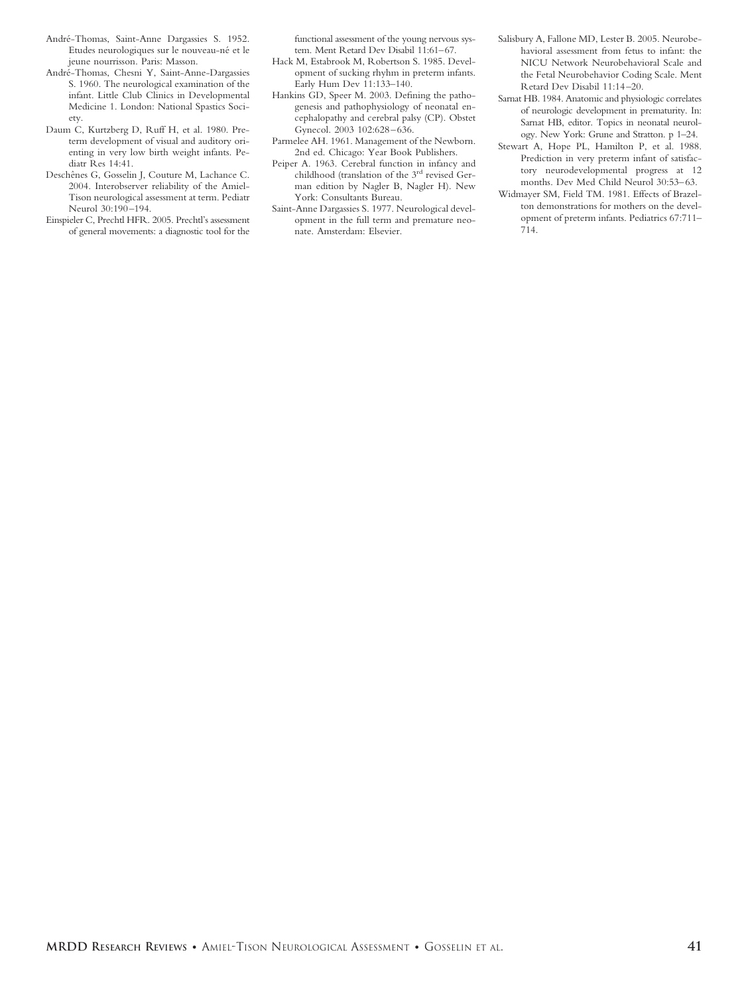- André-Thomas, Saint-Anne Dargassies S. 1952. Etudes neurologiques sur le nouveau-né et le jeune nourrisson. Paris: Masson.
- André-Thomas, Chesni Y, Saint-Anne-Dargassies S. 1960. The neurological examination of the infant. Little Club Clinics in Developmental Medicine 1. London: National Spastics Society.
- Daum C, Kurtzberg D, Ruff H, et al. 1980. Preterm development of visual and auditory orienting in very low birth weight infants. Pediatr Res 14:41.
- Deschênes G, Gosselin J, Couture M, Lachance C. 2004. Interobserver reliability of the Amiel-Tison neurological assessment at term. Pediatr Neurol 30:190-194.
- Einspieler C, Prechtl HFR. 2005. Prechtl's assessment of general movements: a diagnostic tool for the

functional assessment of the young nervous system. Ment Retard Dev Disabil 11:61–67.

- Hack M, Estabrook M, Robertson S. 1985. Development of sucking rhyhm in preterm infants. Early Hum Dev 11:133–140.
- Hankins GD, Speer M. 2003. Defining the pathogenesis and pathophysiology of neonatal encephalopathy and cerebral palsy (CP). Obstet Gynecol. 2003 102:628 –636.
- Parmelee AH. 1961. Management of the Newborn. 2nd ed. Chicago: Year Book Publishers.
- Peiper A. 1963. Cerebral function in infancy and childhood (translation of the 3rd revised German edition by Nagler B, Nagler H). New York: Consultants Bureau.
- Saint-Anne Dargassies S. 1977. Neurological development in the full term and premature neonate. Amsterdam: Elsevier.
- Salisbury A, Fallone MD, Lester B. 2005. Neurobehavioral assessment from fetus to infant: the NICU Network Neurobehavioral Scale and the Fetal Neurobehavior Coding Scale. Ment Retard Dev Disabil 11:14 –20.
- Sarnat HB. 1984. Anatomic and physiologic correlates of neurologic development in prematurity. In: Sarnat HB, editor. Topics in neonatal neurology. New York: Grune and Stratton. p 1–24.
- Stewart A, Hope PL, Hamilton P, et al. 1988. Prediction in very preterm infant of satisfactory neurodevelopmental progress at 12 months. Dev Med Child Neurol 30:53–63.
- Widmayer SM, Field TM. 1981. Effects of Brazelton demonstrations for mothers on the development of preterm infants. Pediatrics 67:711– 714.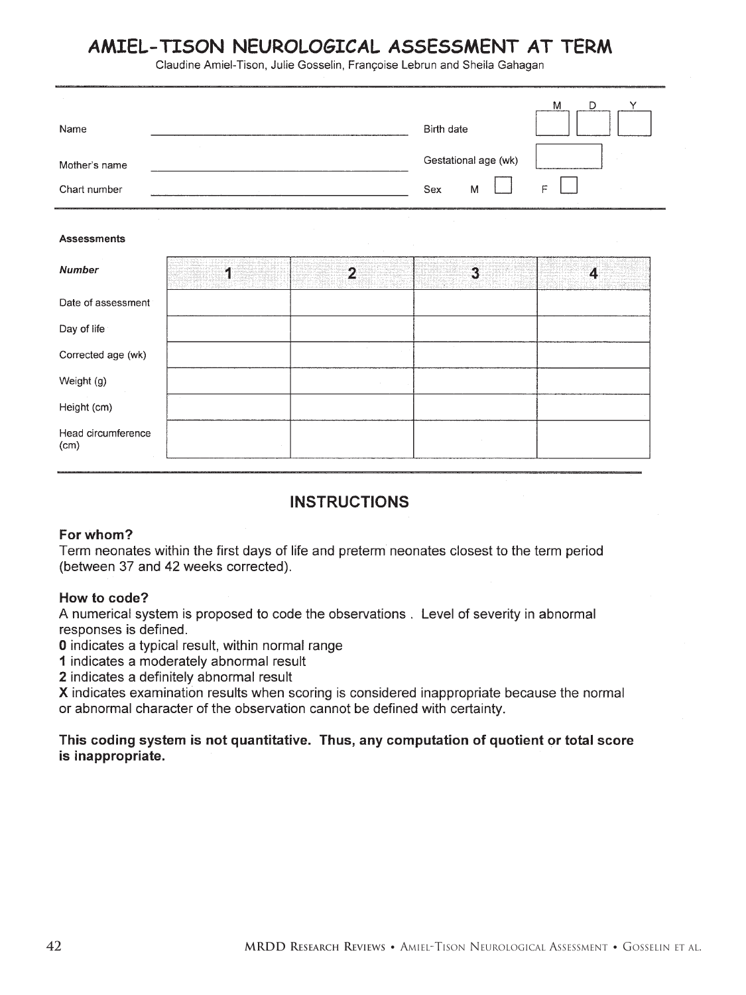### AMIEL-TISON NEUROLOGICAL ASSESSMENT AT TERM

Claudine Amiel-Tison, Julie Gosselin, Françoise Lebrun and Sheila Gahagan

| Name          | Birth date           | M<br>D            |
|---------------|----------------------|-------------------|
| Mother's name | Gestational age (wk) |                   |
| Chart number  | Sex<br>M             | $\mathbf{r}$      |
|               |                      | <b>STATISTICS</b> |

#### **Assessments**

| <b>Number</b>              | $\frac{1}{\sqrt{2}}$<br>n a bhainn an choirean | $\overline{\phantom{a}}$<br>SK Ro | $\overline{\mathbf{3}}$ | 4 |
|----------------------------|------------------------------------------------|-----------------------------------|-------------------------|---|
| Date of assessment         |                                                |                                   |                         |   |
| Day of life                |                                                |                                   |                         |   |
| Corrected age (wk)         |                                                |                                   |                         |   |
| Weight (g)                 |                                                |                                   |                         |   |
| Height (cm)                |                                                |                                   |                         |   |
| Head circumference<br>(cm) |                                                |                                   |                         |   |

### **INSTRUCTIONS**

#### For whom?

Term neonates within the first days of life and preterm neonates closest to the term period (between 37 and 42 weeks corrected).

#### How to code?

A numerical system is proposed to code the observations. Level of severity in abnormal responses is defined.

0 indicates a typical result, within normal range

1 indicates a moderately abnormal result

2 indicates a definitely abnormal result

X indicates examination results when scoring is considered inappropriate because the normal or abnormal character of the observation cannot be defined with certainty.

#### This coding system is not quantitative. Thus, any computation of quotient or total score is inappropriate.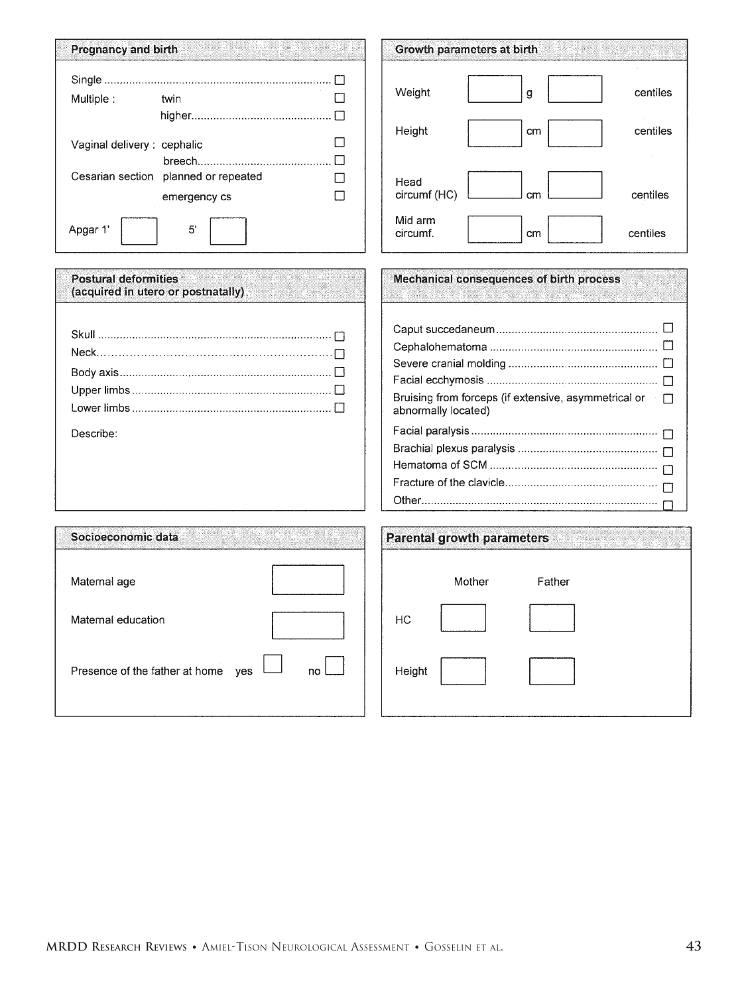| <b>Pregnancy and birth</b>                                                       | Growth parameters at birth                                                       |
|----------------------------------------------------------------------------------|----------------------------------------------------------------------------------|
| Multiple:<br>twin<br>$\mathsf{L}$<br>$\Box$<br>Vaginal delivery : cephalic       | Weight<br>centiles<br>g<br>Height<br>centiles<br>cm                              |
| Cesarian section planned or repeated<br>П<br>П<br>emergency cs<br>Apgar 1'<br>5' | Head<br>circumf (HC)<br>centiles<br>cm<br>Mid arm<br>circumf.<br>centiles<br>cm  |
| <b>Postural deformities</b><br>(acquired in utero or postnatally)                | Mechanical consequences of birth process                                         |
| Describe:                                                                        | Bruising from forceps (if extensive, asymmetrical or<br>П<br>abnormally located) |
| Socioeconomic data                                                               | <b>Parental growth parameters</b>                                                |
| Maternal age                                                                     | Father<br>Mother                                                                 |
| Maternal education                                                               | HC                                                                               |
| Presence of the father at home<br>no<br>yes                                      | Height                                                                           |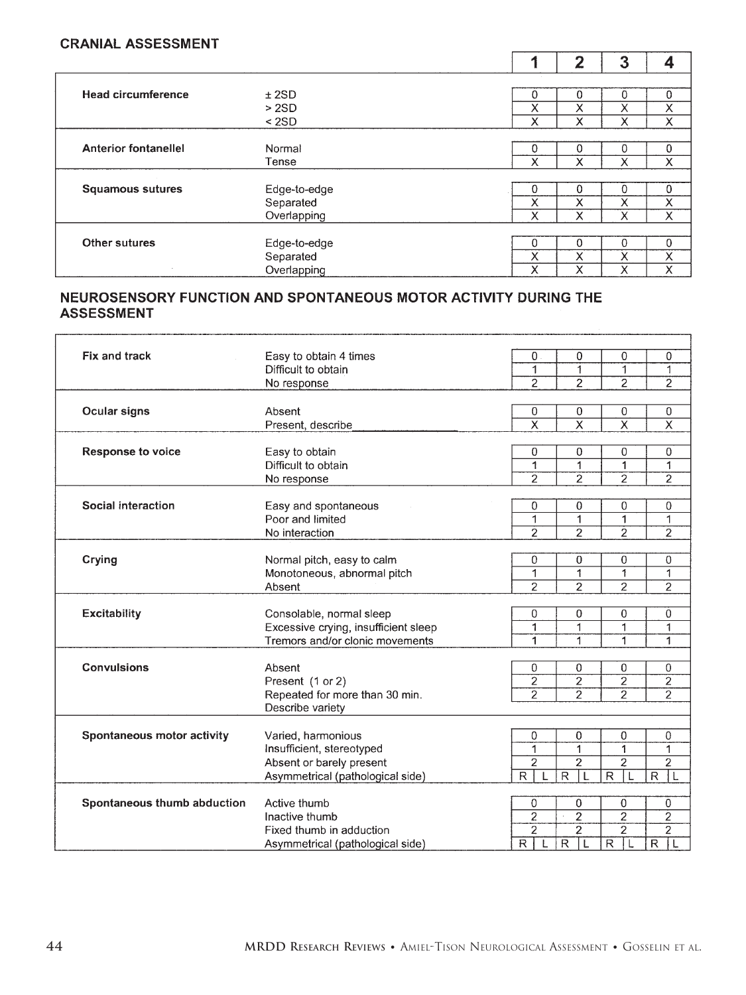#### **CRANIAL ASSESSMENT**

|                             |              | ۴           | $\overline{2}$ | 3        |   |
|-----------------------------|--------------|-------------|----------------|----------|---|
|                             |              |             |                |          |   |
| <b>Head circumference</b>   | ± 2SD        | $\Omega$    | $\Omega$       | $\Omega$ | 0 |
|                             | >2SD         | x           | X              | X        | X |
|                             | < 2SD        | X           | X              | x        | X |
|                             |              |             |                |          |   |
| <b>Anterior fontanellel</b> | Normal       | $\mathbf 0$ | $\Omega$       | 0        | 0 |
|                             | Tense        | X           | X              |          | X |
|                             |              |             |                |          |   |
| <b>Squamous sutures</b>     | Edge-to-edge | $\Omega$    | 0              | Ð        | 0 |
|                             | Separated    | X           | X              |          | X |
|                             | Overlapping  | X           | $\times$       |          | X |
|                             |              |             |                |          |   |
| <b>Other sutures</b>        | Edge-to-edge | $\Omega$    | 0              | $\Omega$ | 0 |
|                             | Separated    | X           | X              |          | x |
|                             | Overlapping  | X           | X              | x        | X |

#### NEUROSENSORY FUNCTION AND SPONTANEOUS MOTOR ACTIVITY DURING THE **ASSESSMENT**

| Fix and track               | Easy to obtain 4 times                                                  | $\mathbf 0$                  | 0                            | 0                            | 0                                       |
|-----------------------------|-------------------------------------------------------------------------|------------------------------|------------------------------|------------------------------|-----------------------------------------|
|                             | Difficult to obtain                                                     | $\mathbf{1}$                 | $\overline{1}$               | 1                            | 1                                       |
|                             | No response                                                             | $\overline{2}$               | $\overline{2}$               | $\overline{2}$               | $\overline{2}$                          |
|                             |                                                                         |                              |                              |                              |                                         |
| Ocular signs                | Absent                                                                  | 0<br>$\overline{\mathsf{x}}$ | 0<br>$\overline{\mathsf{x}}$ | 0<br>$\overline{\mathsf{x}}$ | $\mathbf{0}$<br>$\overline{\mathsf{x}}$ |
|                             | Present, describe                                                       |                              |                              |                              |                                         |
| <b>Response to voice</b>    | Easy to obtain                                                          | 0                            | 0                            | 0                            | 0                                       |
|                             | Difficult to obtain                                                     | $\overline{1}$               | $\overline{1}$               | $\overline{1}$               | $\overline{1}$                          |
|                             | No response                                                             | $\overline{2}$               | $\overline{2}$               | $\overline{2}$               | $\overline{2}$                          |
|                             |                                                                         |                              |                              |                              |                                         |
| <b>Social interaction</b>   | Easy and spontaneous                                                    | 0                            | 0                            | $\mathbf{0}$                 | 0                                       |
|                             | Poor and limited                                                        | $\overline{1}$               | $\overline{1}$               | $\overline{1}$               | $\overline{1}$                          |
|                             | No interaction                                                          | $\overline{2}$               | $\overline{2}$               | $\overline{2}$               | $\overline{2}$                          |
|                             |                                                                         |                              |                              |                              |                                         |
| Crying                      | Normal pitch, easy to calm                                              | 0                            | $\overline{0}$               | $\mathbf{0}$                 | $\mathbf 0$                             |
|                             | Monotoneous, abnormal pitch                                             | 1                            | 1                            | 1                            | 1                                       |
|                             | Absent                                                                  | $\overline{2}$               | $\overline{2}$               | $\overline{2}$               | $\overline{2}$                          |
|                             |                                                                         |                              |                              |                              |                                         |
| <b>Excitability</b>         | Consolable, normal sleep                                                | 0                            | 0                            | 0                            | $\mathbf{0}$                            |
|                             | Excessive crying, insufficient sleep<br>Tremors and/or clonic movements | 1<br>$\overline{1}$          | 1<br>1                       | 1<br>1                       | 1<br>1                                  |
|                             |                                                                         |                              |                              |                              |                                         |
| <b>Convulsions</b>          | Absent                                                                  | 0                            | 0                            | 0                            | 0                                       |
|                             | Present (1 or 2)                                                        | $\overline{2}$               | $\overline{2}$               | $\overline{2}$               | $\overline{2}$                          |
|                             | Repeated for more than 30 min.                                          | $\overline{2}$               | $\overline{2}$               | $\overline{2}$               | $\overline{2}$                          |
|                             | Describe variety                                                        |                              |                              |                              |                                         |
|                             |                                                                         |                              |                              |                              |                                         |
| Spontaneous motor activity  | Varied, harmonious                                                      | 0                            | $\mathbf 0$                  | 0                            | 0                                       |
|                             | Insufficient, stereotyped                                               | $\overline{1}$               | $\overline{1}$               | 1                            | 1                                       |
|                             | Absent or barely present                                                | $\overline{2}$               | $\overline{2}$               | $\overline{2}$               | $\overline{2}$                          |
|                             | Asymmetrical (pathological side)                                        | R.<br>$\mathbf{I}$           | R<br>L                       | $\overline{\mathsf{R}}$<br>L | $\mathsf{R}$                            |
|                             |                                                                         |                              |                              |                              |                                         |
| Spontaneous thumb abduction | Active thumb                                                            | 0                            | 0                            | 0                            | 0                                       |
|                             | Inactive thumb                                                          | $\overline{2}$               | $\overline{2}$               | $\overline{2}$               | $\overline{2}$                          |
|                             | Fixed thumb in adduction                                                | $\overline{2}$               | $\overline{2}$               | $\overline{2}$               | $\overline{2}$                          |
|                             | Asymmetrical (pathological side)                                        | R<br>L                       | $\mathsf{R}$<br>L            | R<br>L                       | R<br>L                                  |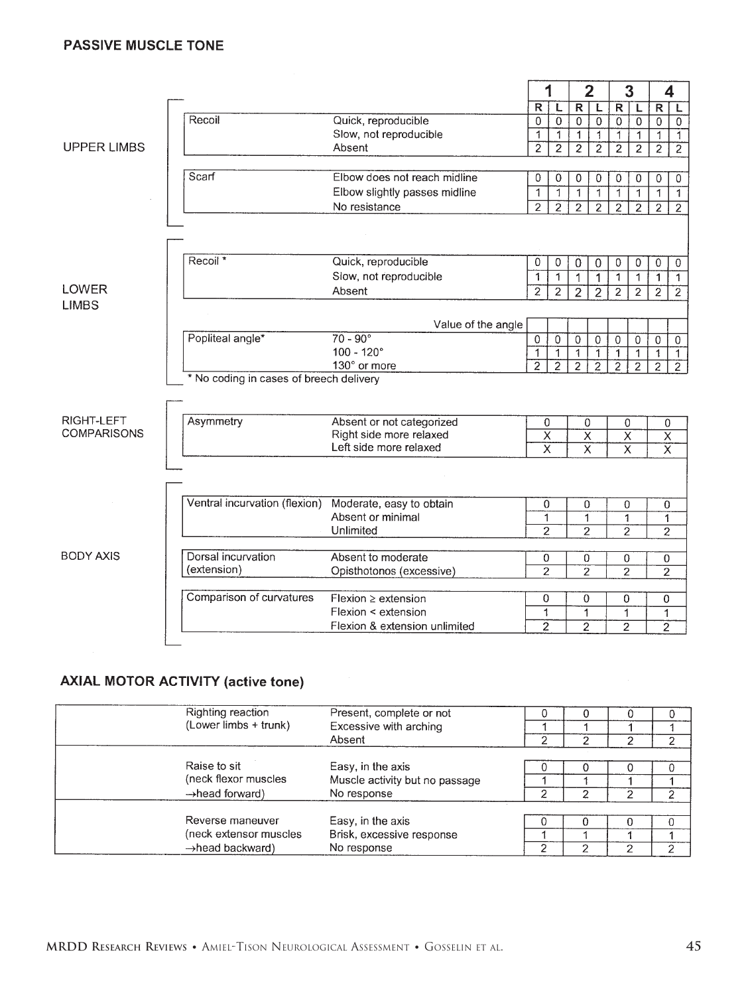#### **PASSIVE MUSCLE TONE**

|                    |                                         |                                         | $\overline{2}$<br>1     |                     |                         | 3                   |                         | 4                   |                                |                     |
|--------------------|-----------------------------------------|-----------------------------------------|-------------------------|---------------------|-------------------------|---------------------|-------------------------|---------------------|--------------------------------|---------------------|
|                    |                                         |                                         | R                       | L                   | $\mathsf{R}$            | L                   | $\overline{\mathsf{R}}$ |                     | R                              | L                   |
|                    | Recoil                                  | Quick, reproducible                     | 0                       | $\mathbf 0$         | $\overline{0}$          | $\overline{0}$      | $\mathbf 0$             | $\overline{0}$      | 0                              | 0                   |
|                    |                                         | Slow, not reproducible                  | 1                       | 1                   | 1                       | 1                   | 1                       | 1                   | 1                              | $\mathbf 1$         |
| <b>UPPER LIMBS</b> |                                         | Absent                                  | $\overline{2}$          | $\overline{2}$      | $\overline{2}$          | $\overline{2}$      | $\overline{2}$          | $\overline{2}$      | $\overline{\mathbf{c}}$        | $\overline{2}$      |
|                    |                                         |                                         |                         |                     |                         |                     |                         |                     |                                |                     |
|                    | Scarf                                   | Elbow does not reach midline            | 0                       | 0                   | 0                       | 0                   | 0                       | 0                   | 0                              | 0                   |
|                    |                                         | Elbow slightly passes midline           | $\mathbf{1}$            | $\mathbf{1}$        | 1                       | $\mathbf{1}$        | $\mathbf{1}$            | 1                   | 1                              | $\mathbf{1}$        |
|                    |                                         | No resistance                           | $\overline{2}$          | $\overline{2}$      | $\overline{2}$          | $\overline{2}$      | $\overline{2}$          | $\overline{2}$      | $\overline{2}$                 | $\overline{2}$      |
|                    |                                         |                                         |                         |                     |                         |                     |                         |                     |                                |                     |
|                    | Recoil *                                | Quick, reproducible                     | 0                       | 0                   | 0                       | 0                   | 0                       | 0                   | 0                              | $\mathbf 0$         |
|                    |                                         | Slow, not reproducible                  | $\overline{1}$          | 1                   | 1                       | $\mathbf{1}$        | 1                       | 1                   | 1                              | 1                   |
| <b>LOWER</b>       |                                         | Absent                                  | $\overline{2}$          | $\overline{2}$      | $\overline{2}$          | $\overline{2}$      | $\overline{c}$          | $\overline{2}$      | $\overline{2}$                 | $\overline{2}$      |
| <b>LIMBS</b>       | Popliteal angle*                        | Value of the angle<br>$70 - 90^{\circ}$ |                         |                     |                         |                     |                         |                     |                                |                     |
|                    |                                         | $100 - 120^{\circ}$                     | 0                       | $\pmb{0}$           | $\mathbf 0$             | $\overline{0}$      | $\overline{0}$          | $\overline{0}$      | $\overline{0}$                 | 0                   |
|                    |                                         | 130° or more                            | 1<br>$\overline{2}$     | 1<br>$\overline{2}$ | 1<br>$\overline{2}$     | 1<br>$\overline{2}$ | 1<br>$\overline{2}$     | 1<br>$\overline{2}$ | $\mathbf{1}$<br>$\overline{2}$ | 1<br>$\overline{2}$ |
|                    | * No coding in cases of breech delivery |                                         |                         |                     |                         |                     |                         |                     |                                |                     |
| <b>RIGHT-LEFT</b>  | Asymmetry                               | Absent or not categorized               | 0                       |                     | $\boldsymbol{0}$        |                     | 0                       |                     | 0                              |                     |
| <b>COMPARISONS</b> |                                         | Right side more relaxed                 | $\overline{\mathsf{x}}$ |                     | $\overline{x}$          |                     | $\overline{\mathsf{x}}$ |                     | $\overline{\mathsf{x}}$        |                     |
|                    |                                         | Left side more relaxed                  | $\overline{\mathsf{x}}$ |                     | $\overline{\mathsf{x}}$ |                     | $\overline{\mathsf{x}}$ |                     | $\overline{\mathsf{x}}$        |                     |
|                    | Ventral incurvation (flexion)           | Moderate, easy to obtain                |                         |                     |                         |                     |                         |                     |                                |                     |
|                    |                                         | Absent or minimal                       | 0<br>1                  |                     | 0                       |                     | 0                       |                     | 0                              |                     |
|                    |                                         | Unlimited                               | $\overline{2}$          |                     | 1<br>2                  |                     | 1<br>2                  |                     | 1                              |                     |
|                    |                                         |                                         |                         |                     |                         |                     |                         |                     | $\overline{c}$                 |                     |
| <b>BODY AXIS</b>   | Dorsal incurvation                      | Absent to moderate                      | 0                       |                     | 0                       |                     | 0                       |                     | 0                              |                     |
|                    | (extension)                             | Opisthotonos (excessive)                | $\overline{2}$          |                     | $\overline{2}$          |                     | 2                       |                     | $\overline{2}$                 |                     |
|                    |                                         |                                         |                         |                     |                         |                     |                         |                     |                                |                     |
|                    | Comparison of curvatures                | $Flexion \ge extension$                 | 0                       |                     | 0                       |                     | 0                       |                     | 0                              |                     |
|                    |                                         | Flexion < extension                     | 1                       |                     | 1                       |                     | 1                       |                     | 1                              |                     |
|                    |                                         | Flexion & extension unlimited           | $\overline{2}$          |                     | $\overline{2}$          |                     | $\overline{2}$          |                     | 2                              |                     |
|                    |                                         |                                         |                         |                     |                         |                     |                         |                     |                                |                     |

### **AXIAL MOTOR ACTIVITY (active tone)**

| Righting reaction            | Present, complete or not       |  | υ |  |
|------------------------------|--------------------------------|--|---|--|
| (Lower limbs + trunk)        | Excessive with arching         |  |   |  |
|                              | Absent                         |  |   |  |
|                              |                                |  |   |  |
| Raise to sit                 | Easy, in the axis              |  |   |  |
| (neck flexor muscles         | Muscle activity but no passage |  |   |  |
| $\rightarrow$ head forward)  | No response                    |  |   |  |
|                              |                                |  |   |  |
| Reverse maneuver             | Easy, in the axis              |  |   |  |
| (neck extensor muscles       | Brisk, excessive response      |  |   |  |
| $\rightarrow$ head backward) | No response                    |  |   |  |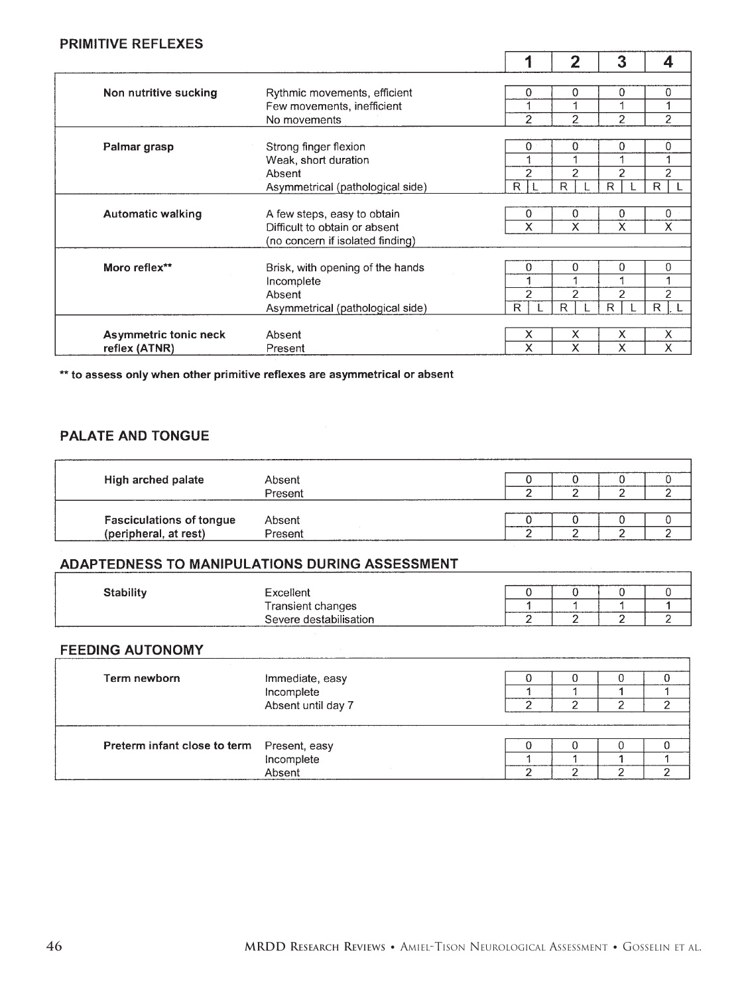#### **PRIMITIVE REFLEXES** 1  $\overline{2}$ 3 4  $\overline{0}$ Non nutritive sucking Rythmic movements, efficient 0  $\mathbf 0$ 0 Few movements, inefficient 1  $\mathbf{1}$ 1 1  $\overline{2}$  $\overline{2}$  $\overline{2}$ No movements  $\overline{2}$ Strong finger flexion  $\overline{0}$  $\overline{0}$  $\overline{0}$  $\overline{0}$ Palmar grasp Weak, short duration 1  $\overline{1}$  $\overline{\mathbf{1}}$  $\overline{1}$ Absent 2  $\overline{2}$  $\overline{2}$  $\overline{2}$  $RL$  $\overline{R}$  $R$  $R L$ Asymmetrical (pathological side)  $\overline{L}$  $\mathsf{L}$ **Automatic walking**  $\overline{\mathfrak{o}}$  $\overline{0}$  $\overline{0}$  $\overline{0}$ A few steps, easy to obtain Difficult to obtain or absent  $\overline{\mathsf{x}}$  $\overline{\mathsf{x}}$  $\overline{\mathsf{x}}$  $\overline{x}$ (no concern if isolated finding)  $\overline{0}$  $\overline{0}$ Moro reflex\*\* Brisk, with opening of the hands  $\overline{0}$ 0 Incomplete 1 1 1 1  $\overline{2}$  $\overline{2}$  $\overline{2}$ Absent  $\overline{2}$ Asymmetrical (pathological side)  $R \mid L$  $R$  $R \mid L$  $R$ . L L **Asymmetric tonic neck**  $\overline{\mathsf{x}}$ Absent Χ X X reflex (ATNR) Present  $\overline{\mathsf{x}}$  $\overline{\mathsf{x}}$  $\overline{\mathsf{x}}$ X

\*\* to assess only when other primitive reflexes are asymmetrical or absent

### PALATE AND TONGUE

| High arched palate              | Absent  |  |  |
|---------------------------------|---------|--|--|
|                                 | Present |  |  |
|                                 |         |  |  |
| <b>Fasciculations of tongue</b> | Absent  |  |  |
| (peripheral, at rest)           | Present |  |  |

#### ADAPTEDNESS TO MANIPULATIONS DURING ASSESSMENT

| <b>Stability</b> | xcellent               |   |  |  |
|------------------|------------------------|---|--|--|
|                  | Fransient changes      |   |  |  |
|                  | Severe destabilisation | - |  |  |

#### **FEEDING AUTONOMY**

| Term newborn                               | Immediate, easy<br>Incomplete |  |  |
|--------------------------------------------|-------------------------------|--|--|
|                                            | Absent until day 7            |  |  |
|                                            |                               |  |  |
| Preterm infant close to term Present, easy |                               |  |  |
|                                            | Incomplete                    |  |  |
|                                            | Absent                        |  |  |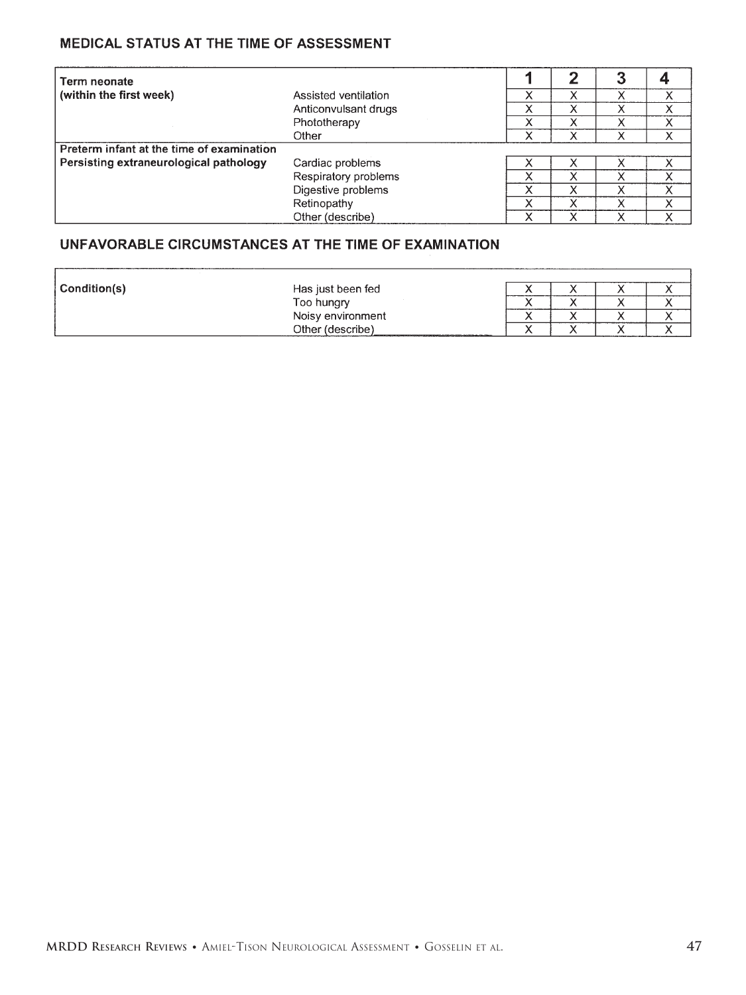### MEDICAL STATUS AT THE TIME OF ASSESSMENT

| Term neonate                              |                      |   |        | w |  |
|-------------------------------------------|----------------------|---|--------|---|--|
| (within the first week)                   | Assisted ventilation | х | ៶      |   |  |
|                                           | Anticonvulsant drugs | х |        |   |  |
|                                           | Phototherapy         | X | v<br>⌒ |   |  |
|                                           | Other                | v |        |   |  |
| Preterm infant at the time of examination |                      |   |        |   |  |
| Persisting extraneurological pathology    | Cardiac problems     |   |        |   |  |
|                                           | Respiratory problems | х |        | х |  |
|                                           | Digestive problems   | X | x      |   |  |
|                                           | Retinopathy          | х | v      | ν |  |
|                                           | Other (describe)     | ∧ |        | v |  |

### UNFAVORABLE CIRCUMSTANCES AT THE TIME OF EXAMINATION

| $ $ Condition(s) | Has just been fed |  |  |
|------------------|-------------------|--|--|
|                  | Too hungry        |  |  |
|                  | Noisy environment |  |  |
|                  | Other (describe)  |  |  |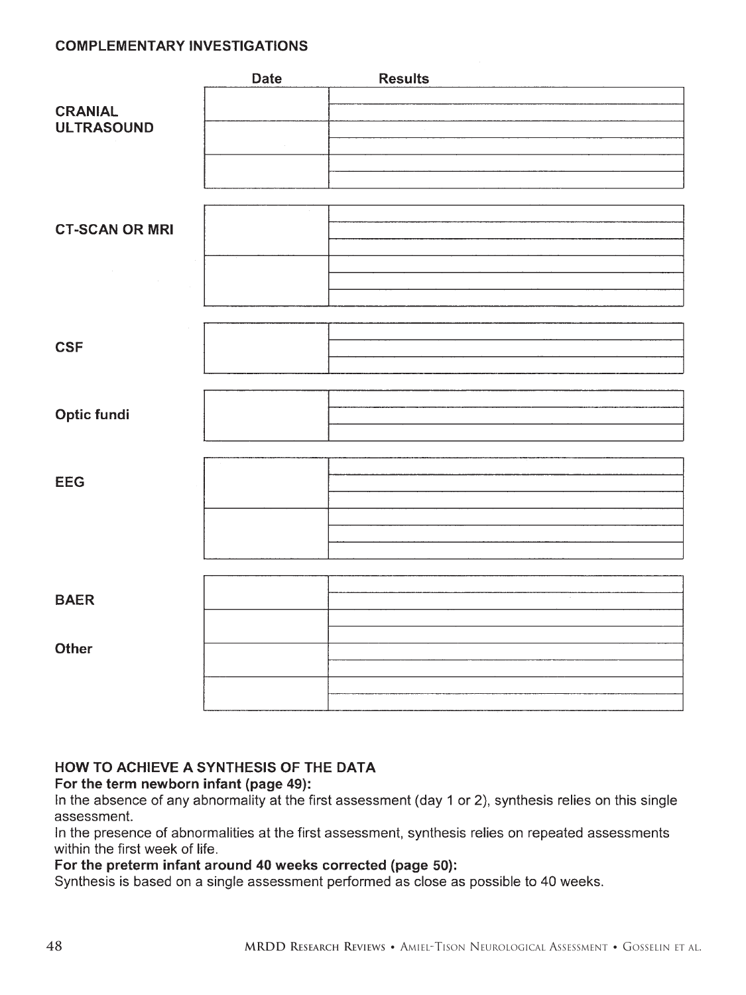### **COMPLEMENTARY INVESTIGATIONS**

|                       | <b>Date</b> | <b>Results</b> |
|-----------------------|-------------|----------------|
|                       |             |                |
| <b>CRANIAL</b>        |             |                |
| <b>ULTRASOUND</b>     |             |                |
|                       |             |                |
|                       |             |                |
|                       |             |                |
|                       |             |                |
|                       |             |                |
| <b>CT-SCAN OR MRI</b> |             |                |
|                       |             |                |
|                       |             |                |
|                       |             |                |
|                       |             |                |
|                       |             |                |
|                       |             |                |
| <b>CSF</b>            |             |                |
|                       |             |                |
|                       |             |                |
|                       |             |                |
| Optic fundi           |             |                |
|                       |             |                |
|                       |             |                |
|                       |             |                |
| <b>EEG</b>            |             |                |
|                       |             |                |
|                       |             |                |
|                       |             |                |
|                       |             |                |
|                       |             |                |
|                       |             |                |
| <b>BAER</b>           |             |                |
|                       |             |                |
|                       |             |                |
| Other                 |             |                |
|                       |             |                |
|                       |             |                |
|                       |             |                |

### HOW TO ACHIEVE A SYNTHESIS OF THE DATA

### For the term newborn infant (page 49):

In the absence of any abnormality at the first assessment (day 1 or 2), synthesis relies on this single assessment.

In the presence of abnormalities at the first assessment, synthesis relies on repeated assessments within the first week of life.

### For the preterm infant around 40 weeks corrected (page 50):

Synthesis is based on a single assessment performed as close as possible to 40 weeks.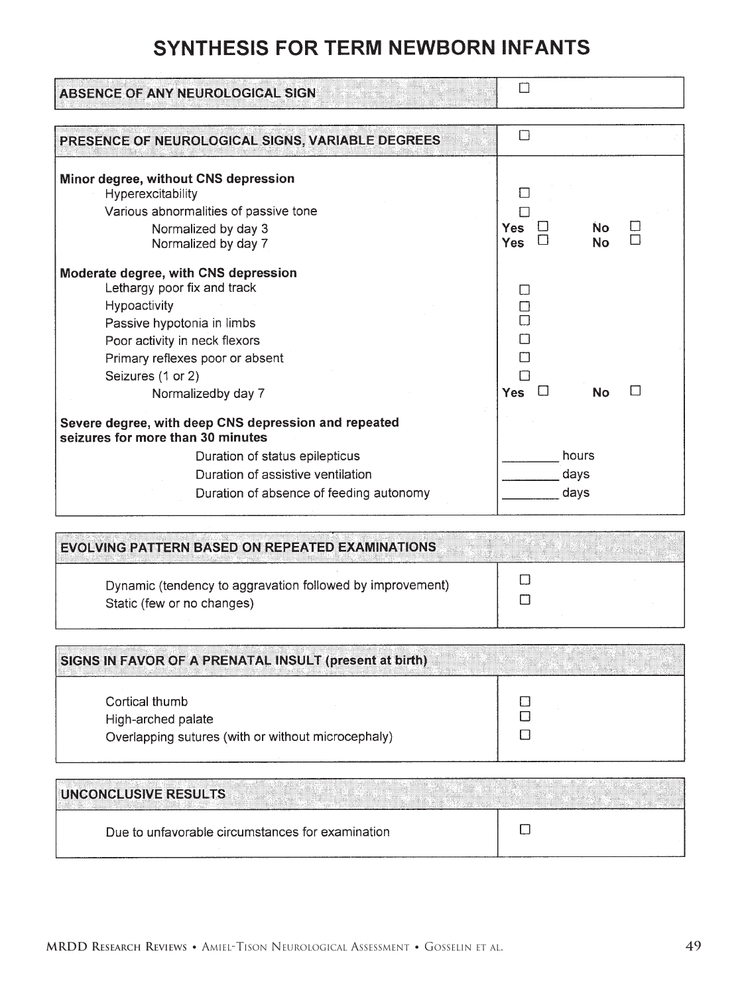## SYNTHESIS FOR TERM NEWBORN INFANTS

| ABSENCE OF ANY NEUROLOGICAL SIGN                                                                                                                                                                                                 | ГП                                   |                        |   |  |
|----------------------------------------------------------------------------------------------------------------------------------------------------------------------------------------------------------------------------------|--------------------------------------|------------------------|---|--|
| PRESENCE OF NEUROLOGICAL SIGNS, VARIABLE DEGREES                                                                                                                                                                                 | П                                    |                        |   |  |
| Minor degree, without CNS depression<br>Hyperexcitability<br>Various abnormalities of passive tone<br>Normalized by day 3<br>Normalized by day 7                                                                                 | <b>Yes</b><br><b>Yes</b>             | <b>No</b><br><b>No</b> | ⊔ |  |
| Moderate degree, with CNS depression<br>Lethargy poor fix and track<br>Hypoactivity<br>Passive hypotonia in limbs<br>Poor activity in neck flexors<br>Primary reflexes poor or absent<br>Seizures (1 or 2)<br>Normalizedby day 7 | П<br>П<br><b>Yes</b><br>$\mathbf{L}$ | <b>No</b>              |   |  |
| Severe degree, with deep CNS depression and repeated<br>seizures for more than 30 minutes<br>Duration of status epilepticus<br>Duration of assistive ventilation<br>Duration of absence of feeding autonomy                      |                                      | hours<br>days<br>days  |   |  |

| <b>EVOLVING PATTERN BASED ON REPEATED EXAMINATIONS</b>                                  |  |
|-----------------------------------------------------------------------------------------|--|
| Dynamic (tendency to aggravation followed by improvement)<br>Static (few or no changes) |  |

| SIGNS IN FAVOR OF A PRENATAL INSULT (present at birth)                                     |  |  |  |  |
|--------------------------------------------------------------------------------------------|--|--|--|--|
| Cortical thumb<br>High-arched palate<br>Overlapping sutures (with or without microcephaly) |  |  |  |  |

| UNCONCLUSIVE RESULTS                             |  |
|--------------------------------------------------|--|
| Due to unfavorable circumstances for examination |  |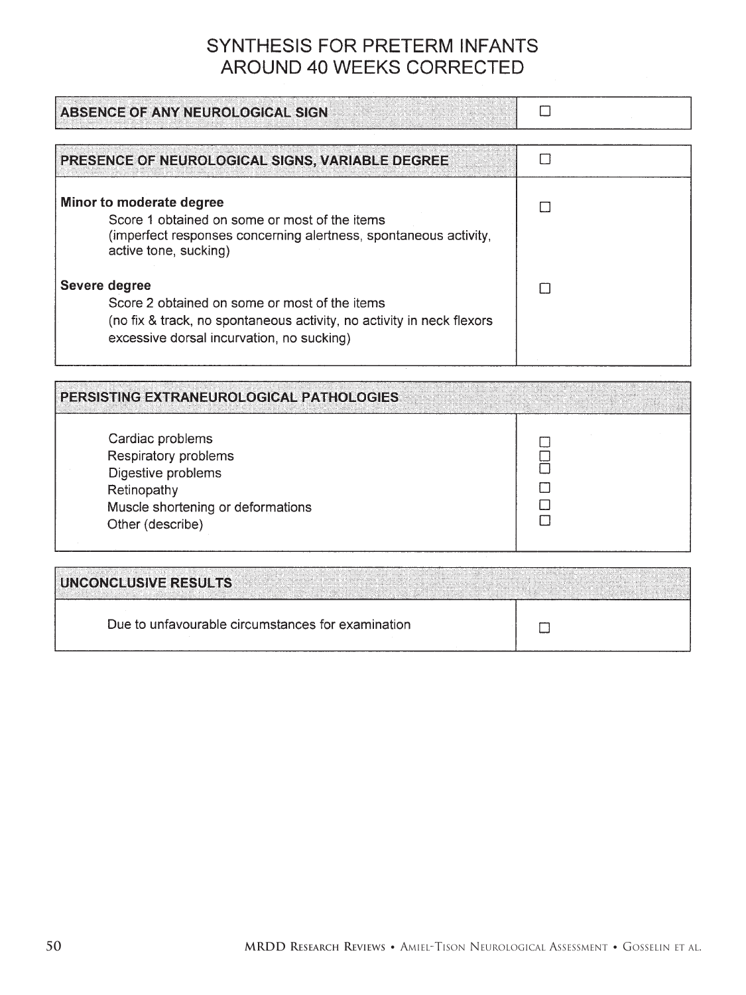### SYNTHESIS FOR PRETERM INFANTS AROUND 40 WEEKS CORRECTED

| ABSENCE OF ANY NEUROLOGICAL SIGN                                                                                                                                                     |  |
|--------------------------------------------------------------------------------------------------------------------------------------------------------------------------------------|--|
| PRESENCE OF NEUROLOGICAL SIGNS, VARIABLE DEGREE                                                                                                                                      |  |
| Minor to moderate degree<br>Score 1 obtained on some or most of the items<br>(imperfect responses concerning alertness, spontaneous activity,<br>active tone, sucking)               |  |
| Severe degree<br>Score 2 obtained on some or most of the items<br>(no fix & track, no spontaneous activity, no activity in neck flexors<br>excessive dorsal incurvation, no sucking) |  |

| Cardiac problems                  |  |
|-----------------------------------|--|
| Respiratory problems              |  |
| Digestive problems                |  |
| Retinopathy                       |  |
| Muscle shortening or deformations |  |
| Other (describe)                  |  |

| UNCONCLUSIVE RESULTS                              |  |
|---------------------------------------------------|--|
| Due to unfavourable circumstances for examination |  |